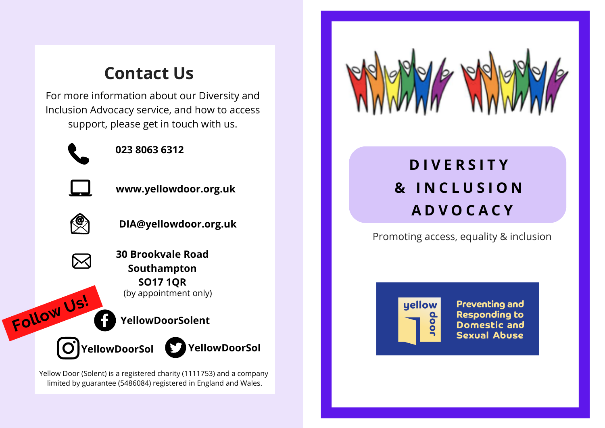## **Contact Us**

For more information about our Diversity and Inclusion Advocacy service, and how to access support, please get in touch with us.



**023 8063 6312**



**www.yellowdoor.org.uk**



**Follow Us!**



**30 Brookvale Road Southampton SO17 1QR** (by appointment only)

**YellowDoorSolent**

**YellowDoorSol**  $O$ <sup>]</sup>YellowDoorSol

Yellow Door (Solent) is a registered charity (1111753) and a company limited by guarantee (5486084) registered in England and Wales.



# **D I V E R S I T Y & I N C L U S I O N A D V O C A C Y**

Promoting access, equality & inclusion



**Preventing and Responding to Domestic and Sexual Abuse**